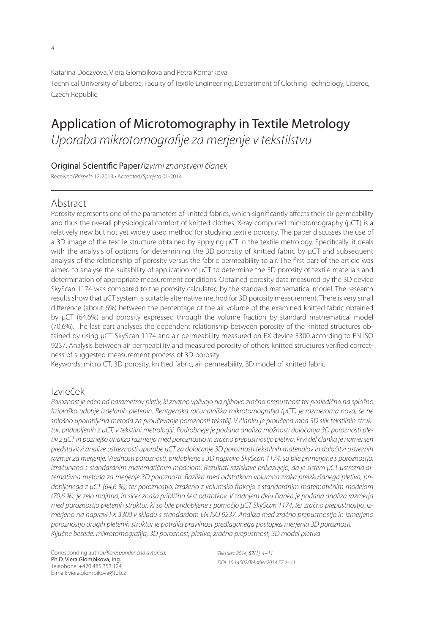$\overline{A}$ 

Katarina Doczyova, Viera Glombikova and Petra Komarkova Technical University of Liberec, Faculty of Textile Engineering, Department of Clothing Technology, Liberec, Czech Republic

# Application of Microtomography in Textile Metrology Uporaba mikrotomografije za merjenje v tekstilstvu

### Original Scientific Paper/Izvirni znanstveni članek

Received/Prispelo 12-2013 • Accepted/Sprejeto 01-2014

# Abstract

Porosity represents one of the parameters of knitted fabrics, which significantly affects their air permeability and thus the overall physiological comfort of knitted clothes. X-ray computed microtomography ( $\mu$ CT) is a relatively new but not yet widely used method for studying textile porosity. The paper discusses the use of a 3D image of the textile structure obtained by applying μCT in the textile metrology. Specifically, it deals with the analysis of options for determining the 3D porosity of knitted fabric by μCT and subsequent analysis of the relationship of porosity versus the fabric permeability to air. The first part of the article was aimed to analyse the suitability of application of µCT to determine the 3D porosity of textile materials and determination of appropriate measurement conditions. Obtained porosity data measured by the 3D device SkyScan 1174 was compared to the porosity calculated by the standard mathematical model. The research results show that μCT system is suitable alternative method for 3D porosity measurement. There is very small difference (about 6%) between the percentage of the air volume of the examined knitted fabric obtained by  $\mu$ CT (64.6%) and porosity expressed through the volume fraction by standard mathematical model (70.6%). The last part analyses the dependent relationship between porosity of the knitted structures obtained by using μCT SkyScan 1174 and air permeability measured on FX device 3300 according to EN ISO 9237. Analysis between air permeability and measured porosity of others knitted structures verified correctness of suggested measurement process of 3D porosity.

Keywords: micro CT, 3D porosity, knitted fabric, air permeability, 3D model of knitted fabric

# Izvleček

Poroznost je eden od parametrov pletiv, ki znatno vplivajo na njihovo zračno prepustnost ter posledično na splošno fiziološko udobje izdelanih pletenin. Rentgenska računalniška mikrotomografija (µCT) je razmeroma nova, še ne splošno uporabljena metoda za proučevanje poroznosti tekstilij. V članku je proučena raba 3D slik tekstilnih struktur, pridobljenih z μCT, v tekstilni metrologiji. Podrobneje je podana analiza možnosti določanja 3D poroznosti pletiv z μCT in poznejšo analizo razmerja med poroznostjo in zračno prepustnostjo pletiva. Prvi del članka je namenjen predstavitvi analize ustreznosti uporabe µCT za določanje 3D poroznosti tekstilnih materialov in določitvi ustreznih razmer za merjenje. Vrednosti poroznosti, pridobljene s 3D napravo SkyScan 1174, so bile primerjane s poroznostjo, izračunano s standardnim matematičnim modelom. Rezultati raziskave prikazujejo, da je sistem μCT ustrezna alternativna metoda za merjenje 3D poroznosti. Razlika med odstotkom volumna zraka preizkušanega pletiva, pridobljenega z µCT (64,6 %), ter poroznostjo, izraženo z volumsko frakcijo s standardnim matematičnim modelom (70,6 %), je zelo majhna, in sicer znaša približno šest odstotkov. V zadnjem delu članka je podana analiza razmerja med poroznostjo pletenih struktur, ki so bile pridobljene s pomočjo μCT SkyScan 1174, ter zračno prepustnostjo, izmerjeno na napravi FX 3300 v skladu s standardom EN ISO 9237. Analiza med zračno prepustnostjo in izmerjeno poroznostjo drugih pletenih struktur je potrdila pravilnost predlaganega postopka merjenja 3D poroznosti. Ključne besede: mikrotomografija, 3D poroznost, pletivo, zračna prepustnost, 3D model pletiva

Corresponding author/Korespondenčna avtorica: Ph.D. Viera Glombikova, Ing. Telephone: +420 485 353 124 E-mail: viera.glombikova@tul.cz

Tekstilec 2014, 57(1), 4−11 DOI: 10.14502/Tekstilec2014.57.4−11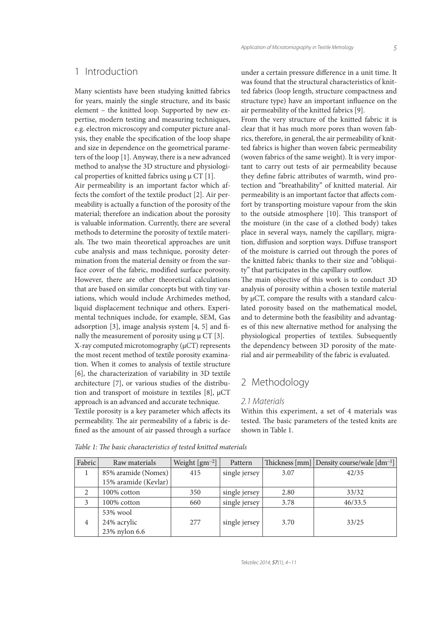## 1 Introduction

Many scientists have been studying knitted fabrics for years, mainly the single structure, and its basic element – the knitted loop. Supported by new expertise, modern testing and measuring techniques, e.g. electron microscopy and computer picture analysis, they enable the specification of the loop shape and size in dependence on the geometrical parameters of the loop [1]. Anyway, there is a new advanced method to analyse the 3D structure and physiological properties of knitted fabrics using  $\mu$  CT [1]. Air permeability is an important factor which affects the comfort of the textile product [2]. Air permeability is actually a function of the porosity of the material; therefore an indication about the porosity is valuable information. Currently, there are several methods to determine the porosity of textile materials. The two main theoretical approaches are unit cube analysis and mass technique, porosity determination from the material density or from the surface cover of the fabric, modified surface porosity. However, there are other theoretical calculations that are based on similar concepts but with tiny variations, which would include Archimedes method, liquid displacement technique and others. Experimental techniques include, for example, SEM, Gas adsorption  $[3]$ , image analysis system  $[4, 5]$  and finally the measurement of porosity using  $\mu$  CT [3]. X-ray computed microtomography (μCT) represents the most recent method of textile porosity examination. When it comes to analysis of textile structure [6], the characterization of variability in 3D textile architecture [7], or various studies of the distribution and transport of moisture in textiles [8], μCT approach is an advanced and accurate technique. Textile porosity is a key parameter which affects its under a certain pressure difference in a unit time. It was found that the structural characteristics of knitted fabrics (loop length, structure compactness and structure type) have an important influence on the air permeability of the knitted fabrics [9].

From the very structure of the knitted fabric it is clear that it has much more pores than woven fabrics, therefore, in general, the air permeability of knitted fabrics is higher than woven fabric permeability (woven fabrics of the same weight). It is very important to carry out tests of air permeability because they define fabric attributes of warmth, wind protection and "breathability" of knitted material. Air permeability is an important factor that affects comfort by transporting moisture vapour from the skin to the outside atmosphere [10]. This transport of the moisture (in the case of a clothed body) takes place in several ways, namely the capillary, migration, diffusion and sorption ways. Diffuse transport of the moisture is carried out through the pores of the knitted fabric thanks to their size and "obliquity" that participates in the capillary outflow.

The main objective of this work is to conduct 3D analysis of porosity within a chosen textile material by µCT, compare the results with a standard calculated porosity based on the mathematical model, and to determine both the feasibility and advantages of this new alternative method for analysing the physiological properties of textiles. Subsequently the dependency between 3D porosity of the material and air permeability of the fabric is evaluated.

## 2 Methodology

#### 2.1 Materials

Within this experiment, a set of 4 materials was tested. The basic parameters of the tested knits are shown in Table 1.

| Fabric         | Raw materials                            | Weight $\left[ \text{gm}^{-2} \right]$ | Pattern       |      | Thickness [mm] Density course/wale [dm <sup>-1</sup> ] |
|----------------|------------------------------------------|----------------------------------------|---------------|------|--------------------------------------------------------|
|                | 85% aramide (Nomex)                      | 415                                    | single jersey | 3.07 | 42/35                                                  |
|                | 15% aramide (Kevlar)                     |                                        |               |      |                                                        |
|                | 100% cotton                              | 350                                    | single jersey | 2.80 | 33/32                                                  |
| 3              | 100% cotton                              | 660                                    | single jersey | 3.78 | 46/33.5                                                |
| $\overline{4}$ | 53% wool<br>24% acrylic<br>23% nylon 6.6 | 277                                    | single jersey | 3.70 | 33/25                                                  |

Table 1: The basic characteristics of tested knitted materials

permeability. The air permeability of a fabric is defined as the amount of air passed through a surface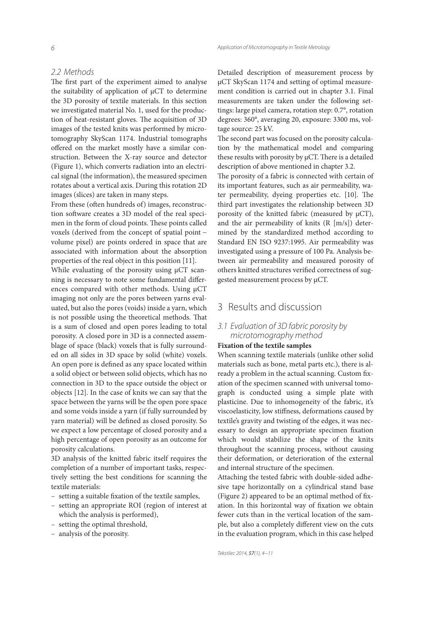The first part of the experiment aimed to analyse the suitability of application of µCT to determine the 3D porosity of textile materials. In this section we investigated material No. 1, used for the production of heat-resistant gloves. The acquisition of 3D images of the tested knits was performed by microtomography SkyScan 1174. Industrial tomographs offered on the market mostly have a similar construction. Between the X-ray source and detector (Figure 1), which converts radiation into an electrical signal (the information), the measured specimen rotates about a vertical axis. During this rotation 2D images (slices) are taken in many steps.

From these (often hundreds of) images, reconstruction software creates a 3D model of the real specimen in the form of cloud points. These points called voxels (derived from the concept of spatial point − volume pixel) are points ordered in space that are associated with information about the absorption properties of the real object in this position [11].

While evaluating of the porosity using μCT scanning is necessary to note some fundamental differences compared with other methods. Using µCT imaging not only are the pores between yarns evaluated, but also the pores (voids) inside a yarn, which is not possible using the theoretical methods. That is a sum of closed and open pores leading to total porosity. A closed pore in 3D is a connected assemblage of space (black) voxels that is fully surrounded on all sides in 3D space by solid (white) voxels. An open pore is defined as any space located within a solid object or between solid objects, which has no connection in 3D to the space outside the object or objects [12]. In the case of knits we can say that the space between the yarns will be the open pore space and some voids inside a yarn (if fully surrounded by yarn material) will be defined as closed porosity. So we expect a low percentage of closed porosity and a high percentage of open porosity as an outcome for porosity calculations.

3D analysis of the knitted fabric itself requires the completion of a number of important tasks, respectively setting the best conditions for scanning the textile materials:

- setting a suitable fixation of the textile samples,
- setting an appropriate ROI (region of interest at which the analysis is performed),
- setting the optimal threshold,
- analysis of the porosity.

Detailed description of measurement process by μCT SkyScan 1174 and setting of optimal measurement condition is carried out in chapter 3.1. Final measurements are taken under the following settings: large pixel camera, rotation step: 0.7°, rotation degrees: 360°, averaging 20, exposure: 3300 ms, voltage source: 25 kV.

The second part was focused on the porosity calculation by the mathematical model and comparing these results with porosity by  $\mu$ CT. There is a detailed description of above mentioned in chapter 3.2.

The porosity of a fabric is connected with certain of its important features, such as air permeability, water permeability, dyeing properties etc.  $[10]$ . The third part investigates the relationship between 3D porosity of the knitted fabric (measured by µCT), and the air permeability of knits (R [m/s]) determined by the standardized method according to Standard EN ISO 9237:1995. Air permeability was investigated using a pressure of 100 Pa. Analysis between air permeability and measured porosity of others knitted structures verified correctness of suggested measurement process by μCT.

### 3 Results and discussion

### 3.1 Evaluation of 3D fabric porosity by microtomography method

#### **Fixation of the textile samples**

When scanning textile materials (unlike other solid materials such as bone, metal parts etc.), there is already a problem in the actual scanning. Custom fixation of the specimen scanned with universal tomograph is conducted using a simple plate with plasticine. Due to inhomogeneity of the fabric, it's viscoelasticity, low stiffness, deformations caused by textile's gravity and twisting of the edges, it was necessary to design an appropriate specimen fixation which would stabilize the shape of the knits throughout the scanning process, without causing their deformation, or deterioration of the external and internal structure of the specimen.

Attaching the tested fabric with double-sided adhesive tape horizontally on a cylindrical stand base (Figure 2) appeared to be an optimal method of fixation. In this horizontal way of fixation we obtain fewer cuts than in the vertical location of the sample, but also a completely different view on the cuts in the evaluation program, which in this case helped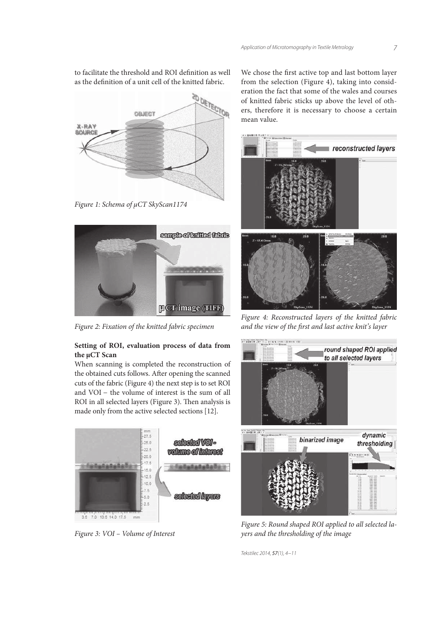to facilitate the threshold and ROI definition as well as the definition of a unit cell of the knitted fabric.



Figure 1: Schema of μCT SkyScan1174



Figure 2: Fixation of the knitted fabric specimen

#### **Setting of ROI, evaluation process of data from the μCT Scan**

When scanning is completed the reconstruction of the obtained cuts follows. After opening the scanned cuts of the fabric (Figure 4) the next step is to set ROI and VOI − the volume of interest is the sum of all ROI in all selected layers (Figure 3). Then analysis is made only from the active selected sections [12].



Figure 3: VOI – Volume of Interest

We chose the first active top and last bottom layer from the selection (Figure 4), taking into consideration the fact that some of the wales and courses of knitted fabric sticks up above the level of others, therefore it is necessary to choose a certain mean value.



Figure 4: Reconstructed layers of the knitted fabric and the view of the first and last active knit's layer



Figure 5: Round shaped ROI applied to all selected layers and the thresholding of the image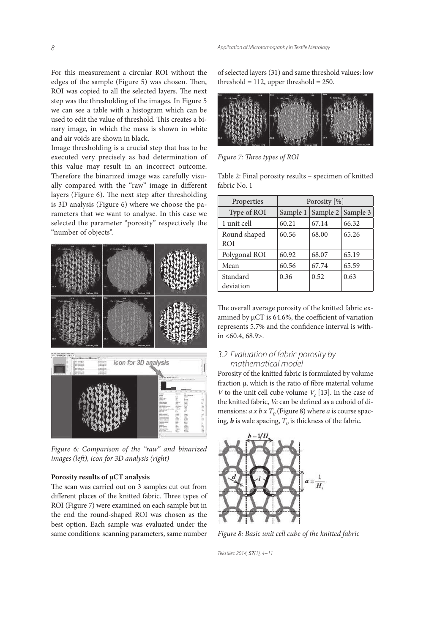For this measurement a circular ROI without the edges of the sample (Figure  $5$ ) was chosen. Then, ROI was copied to all the selected layers. The next step was the thresholding of the images. In Figure 5 we can see a table with a histogram which can be used to edit the value of threshold. This creates a binary image, in which the mass is shown in white and air voids are shown in black.

Image thresholding is a crucial step that has to be executed very precisely as bad determination of this value may result in an incorrect outcome. Therefore the binarized image was carefully visually compared with the "raw" image in different layers (Figure 6). The next step after thresholding is 3D analysis (Figure 6) where we choose the parameters that we want to analyse. In this case we selected the parameter "porosity" respectively the "number of objects".



Figure 6: Comparison of the "raw" and binarized images (left), icon for 3D analysis (right)

#### **Porosity results of μCT analysis**

The scan was carried out on 3 samples cut out from different places of the knitted fabric. Three types of ROI (Figure 7) were examined on each sample but in the end the round-shaped ROI was chosen as the best option. Each sample was evaluated under the same conditions: scanning parameters, same number

of selected layers (31) and same threshold values: low threshold  $= 112$ , upper threshold  $= 250$ .



Figure 7: Three types of ROI

Table 2: Final porosity results – specimen of knitted fabric No. 1

| Properties                 | Porosity [%] |                     |       |  |
|----------------------------|--------------|---------------------|-------|--|
| Type of ROI                | Sample 1     | Sample 2   Sample 3 |       |  |
| 1 unit cell                | 60.21        | 67.14               | 66.32 |  |
| Round shaped<br><b>ROI</b> | 60.56        | 68.00               | 65.26 |  |
| Polygonal ROI              | 60.92        | 68.07               | 65.19 |  |
| Mean                       | 60.56        | 67.74               | 65.59 |  |
| Standard<br>deviation      | 0.36         | 0.52                | 0.63  |  |

The overall average porosity of the knitted fabric examined by  $\mu$ CT is 64.6%, the coefficient of variation represents 5.7% and the confidence interval is within  $<60.4, 68.9$ .

#### 3.2 Evaluation of fabric porosity by mathematical model

Porosity of the knitted fabric is formulated by volume fraction  $\mu$ , which is the ratio of fibre material volume *V* to the unit cell cube volume  $V_c$  [13]. In the case of the knitted fabric, Vc can be defined as a cuboid of dimensions:  $a \times b \times T_0$  (Figure 8) where  $a$  is course spacing,  $\boldsymbol{b}$  is wale spacing,  $T_o$  is thickness of the fabric.



Figure 8: Basic unit cell cube of the knitted fabric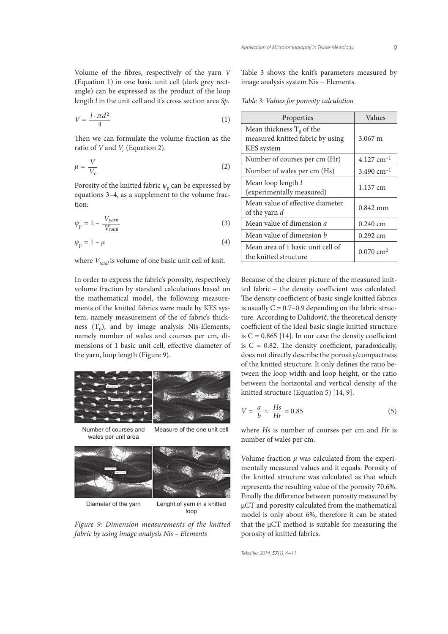Volume of the fibres, respectively of the yarn  $V$ (Equation 1) in one basic unit cell (dark grey rectangle) can be expressed as the product of the loop length l in the unit cell and it's cross section area Sp.

$$
V = \frac{l \cdot \pi d^2}{4} \tag{1}
$$

Then we can formulate the volume fraction as the ratio of V and  $V_c$  (Equation 2).

$$
\mu = \frac{V}{V_c} \tag{2}
$$

Porosity of the knitted fabric  $\psi_p$  can be expressed by equations 3–4, as a supplement to the volume fraction:

$$
\psi_p = 1 - \frac{V_{yarn}}{V_{total}}
$$
\n(3)

$$
\psi_p = 1 - \mu \tag{4}
$$

where  $V_{total}$  is volume of one basic unit cell of knit.

In order to express the fabric's porosity, respectively volume fraction by standard calculations based on the mathematical model, the following measurements of the knitted fabrics were made by KES system, namely measurement of the of fabric's thickness  $(T_0)$ , and by image analysis Nis-Elements, namely number of wales and courses per cm, dimensions of 1 basic unit cell, effective diameter of the yarn, loop length (Figure 9).



wales per unit area



Diameter of the yarn Lenght of yarn in a knitted loop

Figure 9: Dimension measurements of the knitted fabric by using image analysis Nis – Elements

Table 3 shows the knit's parameters measured by image analysis system Nis − Elements.

Table 3: Values for porosity calculation

| Properties                                                                    | Values                   |
|-------------------------------------------------------------------------------|--------------------------|
| Mean thickness $T_0$ of the<br>measured knitted fabric by using<br>KES system | $3.067 \text{ m}$        |
| Number of courses per cm (Hr)                                                 | $4.127$ cm <sup>-1</sup> |
| Number of wales per cm (Hs)                                                   | 3.490 cm <sup>-1</sup>   |
| Mean loop length l<br>(experimentally measured)                               | 1.137 cm                 |
| Mean value of effective diameter<br>of the yarn d                             | $0.842$ mm               |
| Mean value of dimension <i>a</i>                                              | $0.240 \text{ cm}$       |
| Mean value of dimension <i>h</i>                                              | $0.292$ cm               |
| Mean area of 1 basic unit cell of<br>the knitted structure                    | $0.070 \text{ cm}^2$     |

Because of the clearer picture of the measured knitted fabric − the density coefficient was calculated. The density coefficient of basic single knitted fabrics is usually  $C = 0.7 - 0.9$  depending on the fabric structure. According to Dalidovič, the theoretical density coefficient of the ideal basic single knitted structure is  $C = 0.865$  [14]. In our case the density coefficient is  $C = 0.82$ . The density coefficient, paradoxically, does not directly describe the porosity/compactness of the knitted structure. It only defines the ratio between the loop width and loop height, or the ratio between the horizontal and vertical density of the knitted structure (Equation 5) [14, 9].

$$
V = \frac{a}{b} \approx \frac{Hs}{Hr} = 0.85\tag{5}
$$

where Hs is number of courses per cm and Hr is number of wales per cm.

Volume fraction  $\mu$  was calculated from the experimentally measured values and it equals. Porosity of the knitted structure was calculated as that which represents the resulting value of the porosity 70.6%. Finally the difference between porosity measured by µCT and porosity calculated from the mathematical model is only about 6%, therefore it can be stated that the μCT method is suitable for measuring the porosity of knitted fabrics.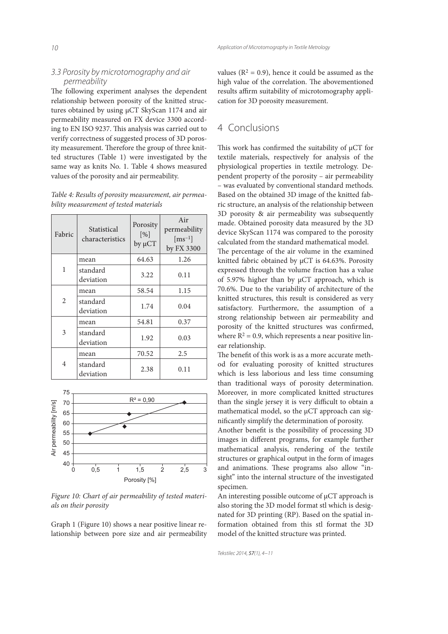#### 3.3 Porosity by microtomography and air permeability

The following experiment analyses the dependent relationship between porosity of the knitted structures obtained by using μCT SkyScan 1174 and air permeability measured on FX device 3300 according to EN ISO 9237. This analysis was carried out to verify correctness of suggested process of 3D porosity measurement. Therefore the group of three knitted structures (Table 1) were investigated by the same way as knits No. 1. Table 4 shows measured values of the porosity and air permeability.

| Table 4: Results of porosity measurement, air permea- |  |
|-------------------------------------------------------|--|
| bility measurement of tested materials                |  |

|  | Fabric         | Statistical<br>characteristics | Porosity<br>[%]<br>by µCT | Air<br>permeability<br>$\left[\text{ms}^{-1}\right]$<br>by FX 3300 |
|--|----------------|--------------------------------|---------------------------|--------------------------------------------------------------------|
|  | 1              | mean                           | 64.63                     | 1.26                                                               |
|  |                | standard<br>deviation          | 3.22                      | 0.11                                                               |
|  | $\overline{2}$ | mean                           | 58.54                     | 1.15                                                               |
|  |                | standard<br>deviation          | 1.74                      | 0.04                                                               |
|  | 3              | mean                           | 54.81                     | 0.37                                                               |
|  |                | standard<br>deviation          | 1.92                      | 0.03                                                               |
|  |                | mean                           | 70.52                     | 2.5                                                                |
|  | 4              | standard<br>deviation          | 2.38                      | 0.11                                                               |



Figure 10: Chart of air permeability of tested materials on their porosity

Graph 1 (Figure 10) shows a near positive linear relationship between pore size and air permeability

values ( $R^2 = 0.9$ ), hence it could be assumed as the high value of the correlation. The abovementioned results affirm suitability of microtomography application for 3D porosity measurement.

# 4 Conclusions

This work has confirmed the suitability of  $\mu$ CT for textile materials, respectively for analysis of the physiological properties in textile metrology. Dependent property of the porosity – air permeability – was evaluated by conventional standard methods. Based on the obtained 3D image of the knitted fabric structure, an analysis of the relationship between 3D porosity & air permeability was subsequently made. Obtained porosity data measured by the 3D device SkyScan 1174 was compared to the porosity calculated from the standard mathematical model.

The percentage of the air volume in the examined knitted fabric obtained by µCT is 64.63%. Porosity expressed through the volume fraction has a value of 5.97% higher than by μCT approach, which is 70.6%. Due to the variability of architecture of the knitted structures, this result is considered as very satisfactory. Furthermore, the assumption of a strong relationship between air permeability and porosity of the knitted structures was confirmed, where  $R^2 = 0.9$ , which represents a near positive linear relationship.

The benefit of this work is as a more accurate method for evaluating porosity of knitted structures which is less laborious and less time consuming than traditional ways of porosity determination. Moreover, in more complicated knitted structures than the single jersey it is very difficult to obtain a mathematical model, so the µCT approach can significantly simplify the determination of porosity.

Another benefit is the possibility of processing 3D images in different programs, for example further mathematical analysis, rendering of the textile structures or graphical output in the form of images and animations. These programs also allow "insight" into the internal structure of the investigated specimen.

An interesting possible outcome of μCT approach is also storing the 3D model format stl which is designated for 3D printing (RP). Based on the spatial information obtained from this stl format the 3D model of the knitted structure was printed.